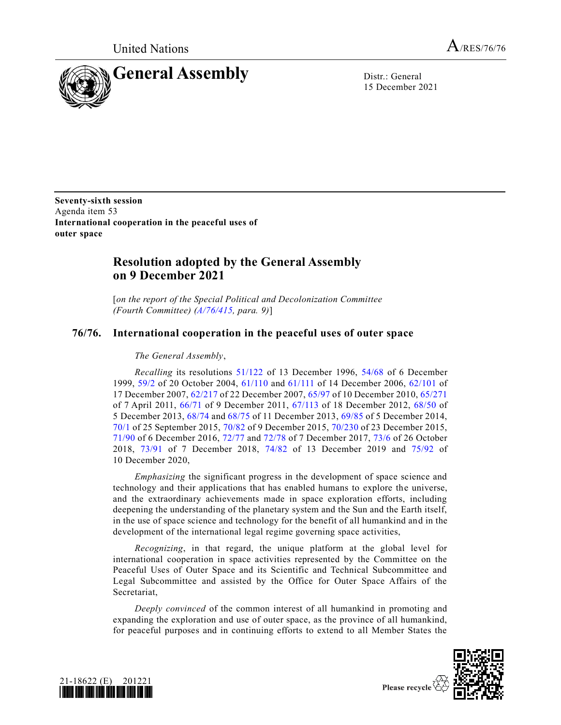

15 December 2021

**Seventy-sixth session** Agenda item 53 **International cooperation in the peaceful uses of outer space**

## **Resolution adopted by the General Assembly on 9 December 2021**

[*on the report of the Special Political and Decolonization Committee (Fourth Committee) [\(A/76/415,](https://undocs.org/en/A/76/415) para. 9)*]

## **76/76. International cooperation in the peaceful uses of outer space**

## *The General Assembly*,

*Recalling* its resolutions [51/122](https://undocs.org/en/A/RES/51/122) of 13 December 1996, [54/68](https://undocs.org/en/A/RES/54/68) of 6 December 1999, [59/2](https://undocs.org/en/A/RES/59/2) of 20 October 2004, [61/110](https://undocs.org/en/A/RES/61/110) and [61/111](https://undocs.org/en/A/RES/61/111) of 14 December 2006, [62/101](https://undocs.org/en/A/RES/62/101) of 17 December 2007, [62/217](https://undocs.org/en/A/RES/62/217) of 22 December 2007, [65/97](https://undocs.org/en/A/RES/65/97) of 10 December 2010, [65/271](https://undocs.org/en/A/RES/65/271) of 7 April 2011, [66/71](https://undocs.org/en/A/RES/66/71) of 9 December 2011, [67/113](https://undocs.org/en/A/RES/67/113) of 18 December 2012, [68/50](https://undocs.org/en/A/RES/68/50) of 5 December 2013, [68/74](https://undocs.org/en/A/RES/68/74) and [68/75](https://undocs.org/en/A/RES/68/75) of 11 December 2013, [69/85](https://undocs.org/en/A/RES/69/85) of 5 December 2014, [70/1](https://undocs.org/en/A/RES/70/1) of 25 September 2015, [70/82](https://undocs.org/en/A/RES/70/82) of 9 December 2015, [70/230](https://undocs.org/en/A/RES/70/230) of 23 December 2015, [71/90](https://undocs.org/en/A/RES/71/90) of 6 December 2016, [72/77](https://undocs.org/en/A/RES/72/77) and [72/78](https://undocs.org/en/A/RES/72/78) of 7 December 2017, [73/6](https://undocs.org/en/A/RES/73/6) of 26 October 2018, [73/91](https://undocs.org/en/A/RES/73/91) of 7 December 2018, [74/82](https://undocs.org/en/A/RES/74/82) of 13 December 2019 and [75/92](https://undocs.org/en/A/RES/75/92) of 10 December 2020,

*Emphasizing* the significant progress in the development of space science and technology and their applications that has enabled humans to explore the universe, and the extraordinary achievements made in space exploration efforts, including deepening the understanding of the planetary system and the Sun and the Earth itself, in the use of space science and technology for the benefit of all humankind and in the development of the international legal regime governing space activities,

*Recognizing*, in that regard, the unique platform at the global level for international cooperation in space activities represented by the Committee on the Peaceful Uses of Outer Space and its Scientific and Technical Subcommittee and Legal Subcommittee and assisted by the Office for Outer Space Affairs of the Secretariat,

*Deeply convinced* of the common interest of all humankind in promoting and expanding the exploration and use of outer space, as the province of all humankind, for peaceful purposes and in continuing efforts to extend to all Member States the



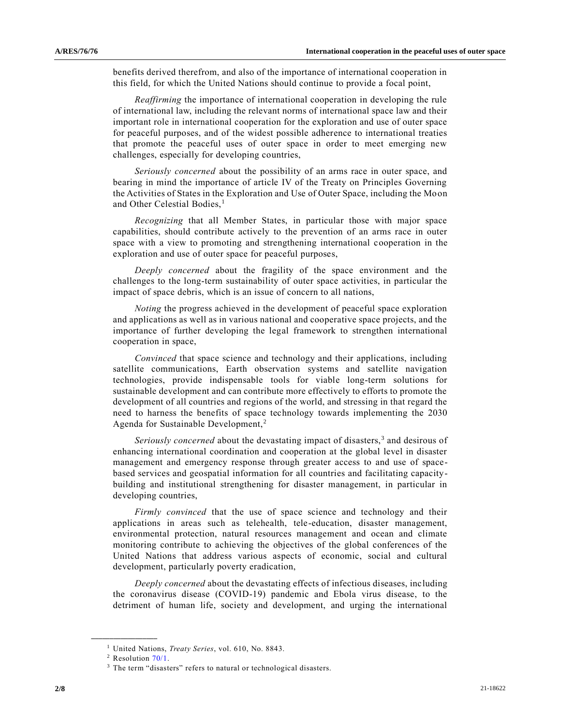benefits derived therefrom, and also of the importance of international cooperation in this field, for which the United Nations should continue to provide a focal point,

*Reaffirming* the importance of international cooperation in developing the rule of international law, including the relevant norms of international space law and their important role in international cooperation for the exploration and use of outer space for peaceful purposes, and of the widest possible adherence to international treaties that promote the peaceful uses of outer space in order to meet emerging new challenges, especially for developing countries,

*Seriously concerned* about the possibility of an arms race in outer space, and bearing in mind the importance of article IV of the Treaty on Principles Governing the Activities of States in the Exploration and Use of Outer Space, including the Moon and Other Celestial Bodies,<sup>1</sup>

*Recognizing* that all Member States, in particular those with major space capabilities, should contribute actively to the prevention of an arms race in outer space with a view to promoting and strengthening international cooperation in the exploration and use of outer space for peaceful purposes,

*Deeply concerned* about the fragility of the space environment and the challenges to the long-term sustainability of outer space activities, in particular the impact of space debris, which is an issue of concern to all nations,

*Noting* the progress achieved in the development of peaceful space exploration and applications as well as in various national and cooperative space projects, and the importance of further developing the legal framework to strengthen international cooperation in space,

*Convinced* that space science and technology and their applications, including satellite communications, Earth observation systems and satellite navigation technologies, provide indispensable tools for viable long-term solutions for sustainable development and can contribute more effectively to efforts to promote the development of all countries and regions of the world, and stressing in that regard the need to harness the benefits of space technology towards implementing the 2030 Agenda for Sustainable Development,<sup>2</sup>

Seriously concerned about the devastating impact of disasters,<sup>3</sup> and desirous of enhancing international coordination and cooperation at the global level in disaster management and emergency response through greater access to and use of spacebased services and geospatial information for all countries and facilitating capacitybuilding and institutional strengthening for disaster management, in particular in developing countries,

*Firmly convinced* that the use of space science and technology and their applications in areas such as telehealth, tele-education, disaster management, environmental protection, natural resources management and ocean and climate monitoring contribute to achieving the objectives of the global conferences of the United Nations that address various aspects of economic, social and cultural development, particularly poverty eradication,

*Deeply concerned* about the devastating effects of infectious diseases, including the coronavirus disease (COVID-19) pandemic and Ebola virus disease, to the detriment of human life, society and development, and urging the international

<sup>1</sup> United Nations, *Treaty Series*, vol. 610, No. 8843.

<sup>2</sup> Resolution [70/1.](https://undocs.org/en/A/RES/70/1)

<sup>3</sup> The term "disasters" refers to natural or technological disasters.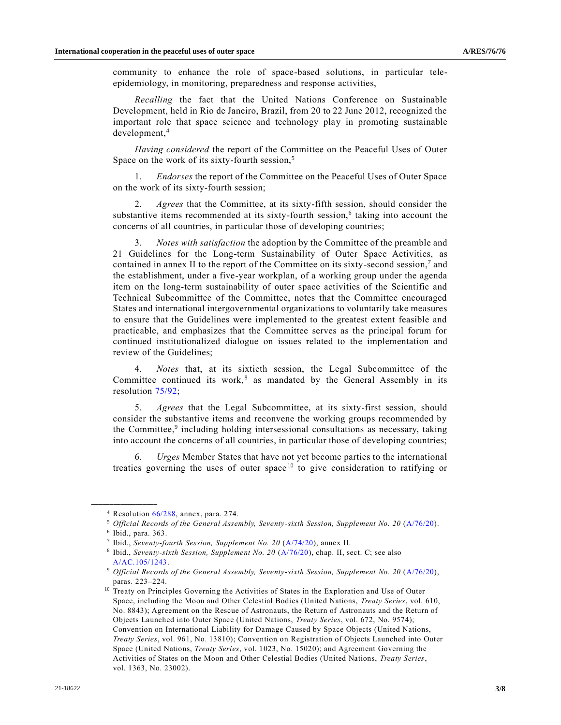community to enhance the role of space-based solutions, in particular teleepidemiology, in monitoring, preparedness and response activities,

*Recalling* the fact that the United Nations Conference on Sustainable Development, held in Rio de Janeiro, Brazil, from 20 to 22 June 2012, recognized the important role that space science and technology play in promoting sustainable development,<sup>4</sup>

*Having considered* the report of the Committee on the Peaceful Uses of Outer Space on the work of its sixty-fourth session,<sup>5</sup>

1. *Endorses* the report of the Committee on the Peaceful Uses of Outer Space on the work of its sixty-fourth session;

2. *Agrees* that the Committee, at its sixty-fifth session, should consider the substantive items recommended at its sixty-fourth session, $6$  taking into account the concerns of all countries, in particular those of developing countries;

3. *Notes with satisfaction* the adoption by the Committee of the preamble and 21 Guidelines for the Long-term Sustainability of Outer Space Activities, as contained in annex II to the report of the Committee on its sixty-second session,<sup>7</sup> and the establishment, under a five-year workplan, of a working group under the agenda item on the long-term sustainability of outer space activities of the Scientific and Technical Subcommittee of the Committee, notes that the Committee encouraged States and international intergovernmental organizations to voluntarily take measures to ensure that the Guidelines were implemented to the greatest extent feasible and practicable, and emphasizes that the Committee serves as the principal forum for continued institutionalized dialogue on issues related to the implementation and review of the Guidelines;

4. *Notes* that, at its sixtieth session, the Legal Subcommittee of the Committee continued its work, $8$  as mandated by the General Assembly in its resolution [75/92;](https://undocs.org/en/A/RES/75/92)

5. *Agrees* that the Legal Subcommittee, at its sixty-first session, should consider the substantive items and reconvene the working groups recommended by the Committee,<sup>9</sup> including holding intersessional consultations as necessary, taking into account the concerns of all countries, in particular those of developing countries;

6. *Urges* Member States that have not yet become parties to the international treaties governing the uses of outer space<sup>10</sup> to give consideration to ratifying or

<sup>4</sup> Resolution [66/288,](https://undocs.org/en/A/RES/66/288) annex, para. 274.

<sup>5</sup> *Official Records of the General Assembly, Seventy-sixth Session, Supplement No. 20* [\(A/76/20\)](https://undocs.org/en/A/76/20).

<sup>6</sup> Ibid., para. 363.

<sup>7</sup> Ibid., *Seventy-fourth Session, Supplement No. 20* [\(A/74/20\)](https://undocs.org/en/A/74/20), annex II.

<sup>8</sup> Ibid., *Seventy-sixth Session, Supplement No. 20* [\(A/76/20\)](https://undocs.org/en/A/76/20), chap. II, sect. C; see also [A/AC.105/1243.](https://undocs.org/en/A/AC.105/1243)

<sup>9</sup> *Official Records of the General Assembly, Seventy-sixth Session, Supplement No. 20* [\(A/76/20\)](https://undocs.org/en/A/76/20), paras. 223–224.

<sup>&</sup>lt;sup>10</sup> Treaty on Principles Governing the Activities of States in the Exploration and Use of Outer Space, including the Moon and Other Celestial Bodies (United Nations, *Treaty Series*, vol. 610, No. 8843); Agreement on the Rescue of Astronauts, the Return of Astronauts and the Return of Objects Launched into Outer Space (United Nations, *Treaty Series*, vol. 672, No. 9574); Convention on International Liability for Damage Caused by Space Objects (United Nations, *Treaty Series*, vol. 961, No. 13810); Convention on Registration of Objects Launched into Outer Space (United Nations, *Treaty Series*, vol. 1023, No. 15020); and Agreement Governing the Activities of States on the Moon and Other Celestial Bodies (United Nations, *Treaty Series*, vol. 1363, No. 23002).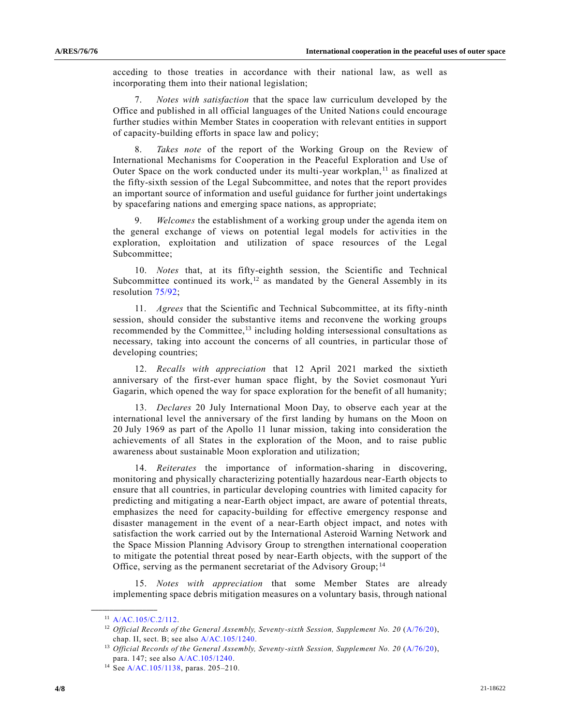acceding to those treaties in accordance with their national law, as well as incorporating them into their national legislation;

7. *Notes with satisfaction* that the space law curriculum developed by the Office and published in all official languages of the United Nations could encourage further studies within Member States in cooperation with relevant entities in support of capacity-building efforts in space law and policy;

Takes note of the report of the Working Group on the Review of International Mechanisms for Cooperation in the Peaceful Exploration and Use of Outer Space on the work conducted under its multi-year workplan, $<sup>11</sup>$  as finalized at</sup> the fifty-sixth session of the Legal Subcommittee, and notes that the report provides an important source of information and useful guidance for further joint undertakings by spacefaring nations and emerging space nations, as appropriate;

9. *Welcomes* the establishment of a working group under the agenda item on the general exchange of views on potential legal models for activities in the exploration, exploitation and utilization of space resources of the Legal Subcommittee;

10. *Notes* that, at its fifty-eighth session, the Scientific and Technical Subcommittee continued its work,<sup>12</sup> as mandated by the General Assembly in its resolution [75/92;](https://undocs.org/en/A/RES/75/92)

11. *Agrees* that the Scientific and Technical Subcommittee, at its fifty-ninth session, should consider the substantive items and reconvene the working groups recommended by the Committee, $^{13}$  including holding intersessional consultations as necessary, taking into account the concerns of all countries, in particular those of developing countries;

12. *Recalls with appreciation* that 12 April 2021 marked the sixtieth anniversary of the first-ever human space flight, by the Soviet cosmonaut Yuri Gagarin, which opened the way for space exploration for the benefit of all humanity;

13. *Declares* 20 July International Moon Day, to observe each year at the international level the anniversary of the first landing by humans on the Moon on 20 July 1969 as part of the Apollo 11 lunar mission, taking into consideration the achievements of all States in the exploration of the Moon, and to raise public awareness about sustainable Moon exploration and utilization;

14. *Reiterates* the importance of information-sharing in discovering, monitoring and physically characterizing potentially hazardous near-Earth objects to ensure that all countries, in particular developing countries with limited capacity for predicting and mitigating a near-Earth object impact, are aware of potential threats, emphasizes the need for capacity-building for effective emergency response and disaster management in the event of a near-Earth object impact, and notes with satisfaction the work carried out by the International Asteroid Warning Network and the Space Mission Planning Advisory Group to strengthen international cooperation to mitigate the potential threat posed by near-Earth objects, with the support of the Office, serving as the permanent secretariat of the Advisory Group; <sup>14</sup>

15. *Notes with appreciation* that some Member States are already implementing space debris mitigation measures on a voluntary basis, through national

 $11$  [A/AC.105/C.2/112.](https://undocs.org/en/A/AC.105/C.2/112)

<sup>&</sup>lt;sup>12</sup> Official Records of the General Assembly, Seventy-sixth Session, Supplement No. 20 [\(A/76/20\)](https://undocs.org/en/A/76/20), chap. II, sect. B; see also [A/AC.105/1240.](https://undocs.org/en/A/AC.105/1240)

<sup>&</sup>lt;sup>13</sup> Official Records of the General Assembly, Seventy-sixth Session, Supplement No. 20 [\(A/76/20\)](https://undocs.org/en/A/76/20), para. 147; see als[o A/AC.105/1240.](https://undocs.org/en/A/AC.105/1240)

<sup>14</sup> Se[e A/AC.105/1138,](https://undocs.org/en/A/AC.105/1138) paras. 205–210.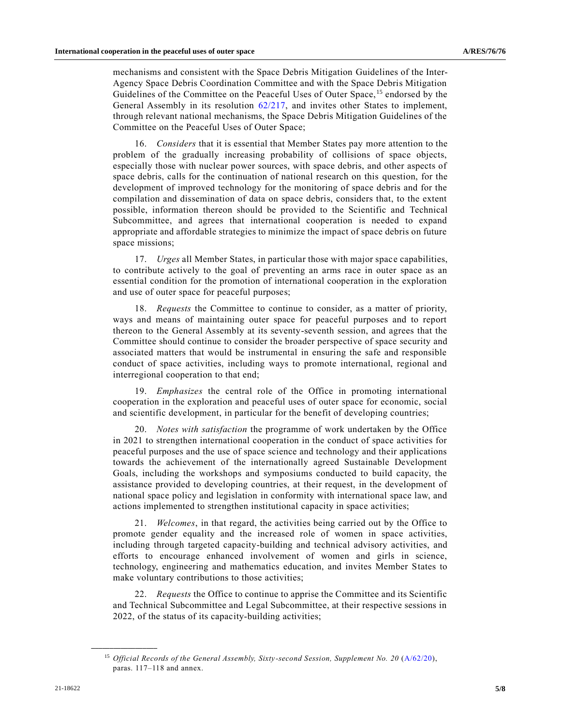mechanisms and consistent with the Space Debris Mitigation Guidelines of the Inter-Agency Space Debris Coordination Committee and with the Space Debris Mitigation Guidelines of the Committee on the Peaceful Uses of Outer Space,<sup>15</sup> endorsed by the General Assembly in its resolution [62/217,](https://undocs.org/en/A/RES/62/217) and invites other States to implement, through relevant national mechanisms, the Space Debris Mitigation Guidelines of the Committee on the Peaceful Uses of Outer Space;

16. *Considers* that it is essential that Member States pay more attention to the problem of the gradually increasing probability of collisions of space objects, especially those with nuclear power sources, with space debris, and other aspects of space debris, calls for the continuation of national research on this question, for the development of improved technology for the monitoring of space debris and for the compilation and dissemination of data on space debris, considers that, to the extent possible, information thereon should be provided to the Scientific and Technical Subcommittee, and agrees that international cooperation is needed to expand appropriate and affordable strategies to minimize the impact of space debris on future space missions;

17. *Urges* all Member States, in particular those with major space capabilities, to contribute actively to the goal of preventing an arms race in outer space as an essential condition for the promotion of international cooperation in the exploration and use of outer space for peaceful purposes;

18. *Requests* the Committee to continue to consider, as a matter of priority, ways and means of maintaining outer space for peaceful purposes and to report thereon to the General Assembly at its seventy-seventh session, and agrees that the Committee should continue to consider the broader perspective of space security and associated matters that would be instrumental in ensuring the safe and responsible conduct of space activities, including ways to promote international, regional and interregional cooperation to that end;

19. *Emphasizes* the central role of the Office in promoting international cooperation in the exploration and peaceful uses of outer space for economic, social and scientific development, in particular for the benefit of developing countries;

20. *Notes with satisfaction* the programme of work undertaken by the Office in 2021 to strengthen international cooperation in the conduct of space activities for peaceful purposes and the use of space science and technology and their applications towards the achievement of the internationally agreed Sustainable Development Goals, including the workshops and symposiums conducted to build capacity, the assistance provided to developing countries, at their request, in the development of national space policy and legislation in conformity with international space law, and actions implemented to strengthen institutional capacity in space activities;

21. *Welcomes*, in that regard, the activities being carried out by the Office to promote gender equality and the increased role of women in space activities, including through targeted capacity-building and technical advisory activities, and efforts to encourage enhanced involvement of women and girls in science, technology, engineering and mathematics education, and invites Member States to make voluntary contributions to those activities;

22. *Requests* the Office to continue to apprise the Committee and its Scientific and Technical Subcommittee and Legal Subcommittee, at their respective sessions in 2022, of the status of its capacity-building activities;

<sup>15</sup> *Official Records of the General Assembly, Sixty -second Session, Supplement No. 20* [\(A/62/20\)](https://undocs.org/en/A/62/20(Supp)), paras. 117–118 and annex.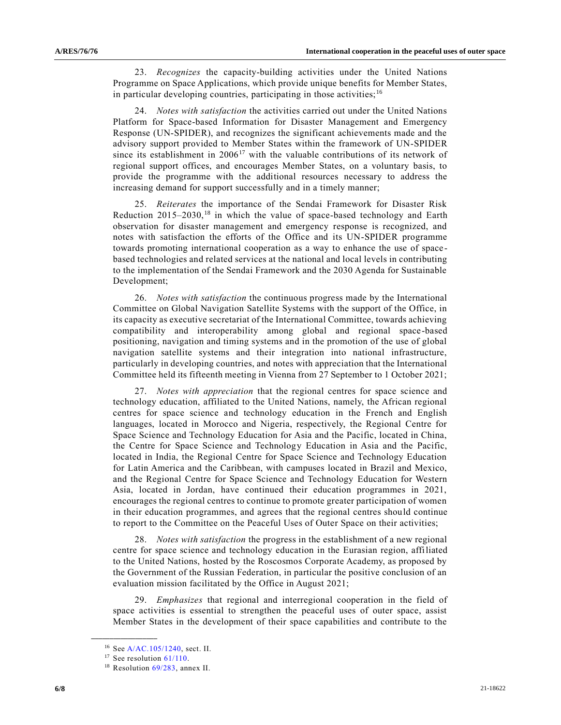23. *Recognizes* the capacity-building activities under the United Nations Programme on Space Applications, which provide unique benefits for Member States, in particular developing countries, participating in those activities;  $16$ 

24. *Notes with satisfaction* the activities carried out under the United Nations Platform for Space-based Information for Disaster Management and Emergency Response (UN-SPIDER), and recognizes the significant achievements made and the advisory support provided to Member States within the framework of UN-SPIDER since its establishment in  $2006<sup>17</sup>$  with the valuable contributions of its network of regional support offices, and encourages Member States, on a voluntary basis, to provide the programme with the additional resources necessary to address the increasing demand for support successfully and in a timely manner;

25. *Reiterates* the importance of the Sendai Framework for Disaster Risk Reduction  $2015-2030$ ,<sup>18</sup> in which the value of space-based technology and Earth observation for disaster management and emergency response is recognized, and notes with satisfaction the efforts of the Office and its UN-SPIDER programme towards promoting international cooperation as a way to enhance the use of space based technologies and related services at the national and local levels in contributing to the implementation of the Sendai Framework and the 2030 Agenda for Sustainable Development;

26. *Notes with satisfaction* the continuous progress made by the International Committee on Global Navigation Satellite Systems with the support of the Office, in its capacity as executive secretariat of the International Committee, towards achieving compatibility and interoperability among global and regional space-based positioning, navigation and timing systems and in the promotion of the use of global navigation satellite systems and their integration into national infrastructure, particularly in developing countries, and notes with appreciation that the International Committee held its fifteenth meeting in Vienna from 27 September to 1 October 2021;

27. *Notes with appreciation* that the regional centres for space science and technology education, affiliated to the United Nations, namely, the African regional centres for space science and technology education in the French and English languages, located in Morocco and Nigeria, respectively, the Regional Centre for Space Science and Technology Education for Asia and the Pacific, located in China, the Centre for Space Science and Technology Education in Asia and the Pacific, located in India, the Regional Centre for Space Science and Technology Education for Latin America and the Caribbean, with campuses located in Brazil and Mexico, and the Regional Centre for Space Science and Technology Education for Western Asia, located in Jordan, have continued their education programmes in 2021, encourages the regional centres to continue to promote greater participation of women in their education programmes, and agrees that the regional centres should continue to report to the Committee on the Peaceful Uses of Outer Space on their activities;

28. *Notes with satisfaction* the progress in the establishment of a new regional centre for space science and technology education in the Eurasian region, affiliated to the United Nations, hosted by the Roscosmos Corporate Academy, as proposed by the Government of the Russian Federation, in particular the positive conclusion of an evaluation mission facilitated by the Office in August 2021;

29. *Emphasizes* that regional and interregional cooperation in the field of space activities is essential to strengthen the peaceful uses of outer space, assist Member States in the development of their space capabilities and contribute to the

<sup>16</sup> Se[e A/AC.105/1240,](https://undocs.org/en/A/AC.105/1240) sect. II.

 $17$  See resolution  $61/110$ .

<sup>&</sup>lt;sup>18</sup> Resolution [69/283,](https://undocs.org/en/A/RES/69/283) annex II.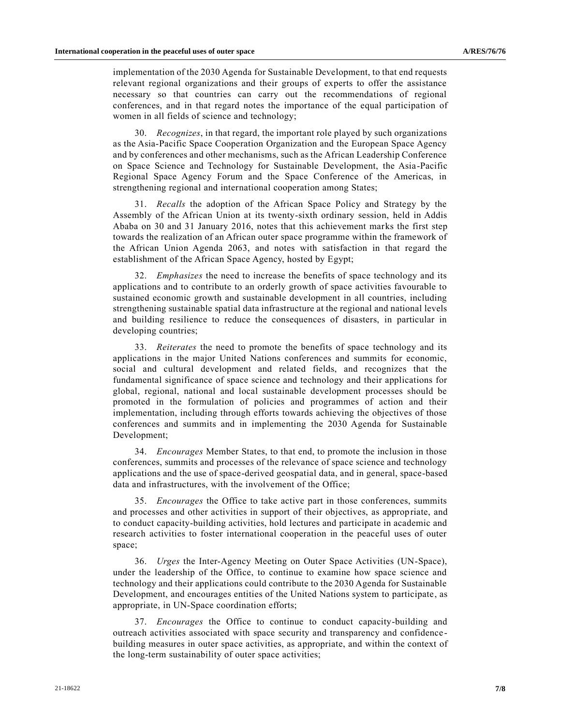implementation of the 2030 Agenda for Sustainable Development, to that end requests relevant regional organizations and their groups of experts to offer the assistance necessary so that countries can carry out the recommendations of regional conferences, and in that regard notes the importance of the equal participation of women in all fields of science and technology;

30. *Recognizes*, in that regard, the important role played by such organizations as the Asia-Pacific Space Cooperation Organization and the European Space Agency and by conferences and other mechanisms, such as the African Leadership Conference on Space Science and Technology for Sustainable Development, the Asia-Pacific Regional Space Agency Forum and the Space Conference of the Americas, in strengthening regional and international cooperation among States;

31. *Recalls* the adoption of the African Space Policy and Strategy by the Assembly of the African Union at its twenty-sixth ordinary session, held in Addis Ababa on 30 and 31 January 2016, notes that this achievement marks the first step towards the realization of an African outer space programme within the framework of the African Union Agenda 2063, and notes with satisfaction in that regard the establishment of the African Space Agency, hosted by Egypt;

32. *Emphasizes* the need to increase the benefits of space technology and its applications and to contribute to an orderly growth of space activities favourable to sustained economic growth and sustainable development in all countries, including strengthening sustainable spatial data infrastructure at the regional and national levels and building resilience to reduce the consequences of disasters, in particular in developing countries;

33. *Reiterates* the need to promote the benefits of space technology and its applications in the major United Nations conferences and summits for economic, social and cultural development and related fields, and recognizes that the fundamental significance of space science and technology and their applications for global, regional, national and local sustainable development processes should be promoted in the formulation of policies and programmes of action and their implementation, including through efforts towards achieving the objectives of those conferences and summits and in implementing the 2030 Agenda for Sustainable Development;

34. *Encourages* Member States, to that end, to promote the inclusion in those conferences, summits and processes of the relevance of space science and technology applications and the use of space-derived geospatial data, and in general, space-based data and infrastructures, with the involvement of the Office;

35. *Encourages* the Office to take active part in those conferences, summits and processes and other activities in support of their objectives, as appropriate, and to conduct capacity-building activities, hold lectures and participate in academic and research activities to foster international cooperation in the peaceful uses of outer space;

36. *Urges* the Inter-Agency Meeting on Outer Space Activities (UN-Space), under the leadership of the Office, to continue to examine how space science and technology and their applications could contribute to the 2030 Agenda for Sustainable Development, and encourages entities of the United Nations system to participate, as appropriate, in UN-Space coordination efforts;

37. *Encourages* the Office to continue to conduct capacity-building and outreach activities associated with space security and transparency and confidence building measures in outer space activities, as appropriate, and within the context of the long-term sustainability of outer space activities;